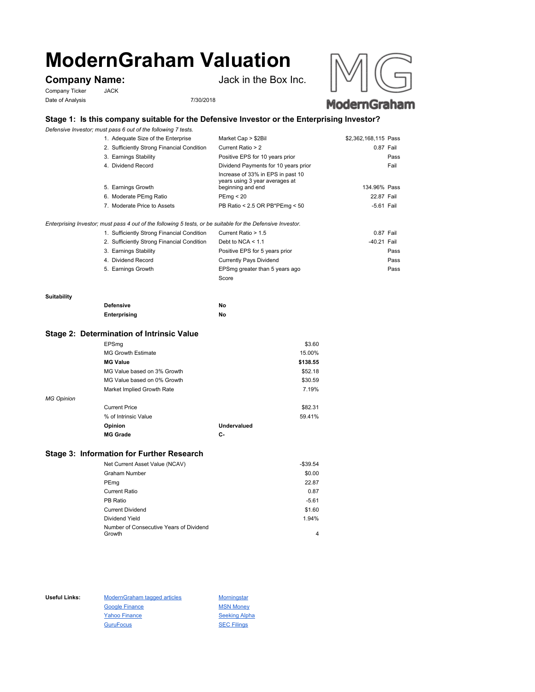# **ModernGraham Valuation**

Company Ticker JACK Date of Analysis 7/30/2018

**Company Name:** Jack in the Box Inc.



## ModernGraham

### **Stage 1: Is this company suitable for the Defensive Investor or the Enterprising Investor?**

*Defensive Investor; must pass 6 out of the following 7 tests.*

| 1. Adequate Size of the Enterprise                                                                          | Market Cap > \$2Bil                                                                      | \$2,362,168,115 Pass |  |
|-------------------------------------------------------------------------------------------------------------|------------------------------------------------------------------------------------------|----------------------|--|
| 2. Sufficiently Strong Financial Condition                                                                  | Current Ratio > 2                                                                        | 0.87 Fail            |  |
| 3. Earnings Stability                                                                                       | Positive EPS for 10 years prior                                                          | Pass                 |  |
| 4. Dividend Record                                                                                          | Dividend Payments for 10 years prior                                                     | Fail                 |  |
| 5. Earnings Growth                                                                                          | Increase of 33% in EPS in past 10<br>years using 3 year averages at<br>beginning and end | 134.96% Pass         |  |
| 6. Moderate PEmg Ratio                                                                                      | PEmq < 20                                                                                | 22.87 Fail           |  |
| 7. Moderate Price to Assets                                                                                 | PB Ratio < 2.5 OR PB*PEmg < 50                                                           | $-5.61$ Fail         |  |
| Enterprising Investor; must pass 4 out of the following 5 tests, or be suitable for the Defensive Investor. |                                                                                          |                      |  |

| 1. Sufficiently Strong Financial Condition | Current Ratio > 1.5            | 0.87 Fail   |      |
|--------------------------------------------|--------------------------------|-------------|------|
| 2. Sufficiently Strong Financial Condition | Debt to NCA $<$ 1.1            | -40.21 Fail |      |
| 3. Earnings Stability                      | Positive EPS for 5 years prior |             | Pass |
| 4. Dividend Record                         | <b>Currently Pays Dividend</b> |             | Pass |
| 5. Earnings Growth                         | EPSmg greater than 5 years ago |             | Pass |
|                                            | Score                          |             |      |

#### **Suitability**

| <b>Defensive</b> | Νo |
|------------------|----|
| Enterprising     | No |

#### **Stage 2: Determination of Intrinsic Value**

|                   | EPSmg                       |                    | \$3.60   |
|-------------------|-----------------------------|--------------------|----------|
|                   | <b>MG Growth Estimate</b>   |                    | 15.00%   |
|                   | <b>MG Value</b>             |                    | \$138.55 |
|                   | MG Value based on 3% Growth |                    | \$52.18  |
|                   | MG Value based on 0% Growth |                    | \$30.59  |
|                   | Market Implied Growth Rate  |                    | 7.19%    |
| <b>MG Opinion</b> |                             |                    |          |
|                   | <b>Current Price</b>        |                    | \$82.31  |
|                   | % of Intrinsic Value        |                    | 59.41%   |
|                   | Opinion                     | <b>Undervalued</b> |          |
|                   | <b>MG Grade</b>             | С-                 |          |
|                   |                             |                    |          |

#### **Stage 3: Information for Further Research**

| Net Current Asset Value (NCAV)          | $-$39.54$ |
|-----------------------------------------|-----------|
| Graham Number                           | \$0.00    |
| PEmg                                    | 22.87     |
| Current Ratio                           | 0.87      |
| PB Ratio                                | $-5.61$   |
| <b>Current Dividend</b>                 | \$1.60    |
| Dividend Yield                          | 1.94%     |
| Number of Consecutive Years of Dividend |           |
| Growth                                  | 4         |

Useful Links: ModernGraham tagged articles Morningstar Google Finance MSN Money Yahoo Finance Seeking Alpha GuruFocus SEC Filings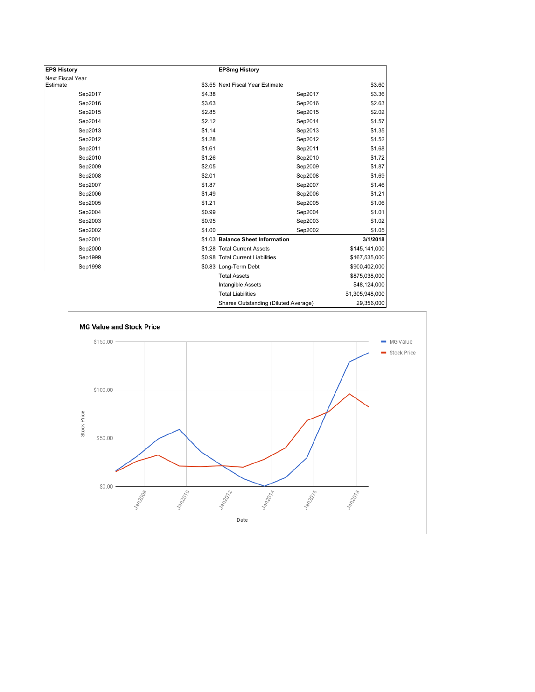| <b>EPS History</b>           |        | <b>EPSmg History</b>                 |                 |
|------------------------------|--------|--------------------------------------|-----------------|
|                              |        |                                      |                 |
| Next Fiscal Year<br>Estimate |        | \$3.55 Next Fiscal Year Estimate     | \$3.60          |
| Sep2017                      | \$4.38 | Sep2017                              | \$3.36          |
| Sep2016                      | \$3.63 | Sep2016                              | \$2.63          |
| Sep2015                      | \$2.85 | Sep2015                              | \$2.02          |
| Sep2014                      | \$2.12 | Sep2014                              | \$1.57          |
| Sep2013                      | \$1.14 | Sep2013                              | \$1.35          |
| Sep2012                      | \$1.28 | Sep2012                              | \$1.52          |
| Sep2011                      | \$1.61 | Sep2011                              | \$1.68          |
| Sep2010                      | \$1.26 | Sep2010                              | \$1.72          |
| Sep2009                      | \$2.05 | Sep2009                              | \$1.87          |
| Sep2008                      | \$2.01 | Sep2008                              | \$1.69          |
| Sep2007                      | \$1.87 | Sep2007                              | \$1.46          |
| Sep2006                      | \$1.49 | Sep2006                              | \$1.21          |
| Sep2005                      | \$1.21 | Sep2005                              | \$1.06          |
| Sep2004                      | \$0.99 | Sep2004                              | \$1.01          |
| Sep2003                      | \$0.95 | Sep2003                              | \$1.02          |
| Sep2002                      | \$1.00 | Sep2002                              | \$1.05          |
| Sep2001                      |        | \$1.03 Balance Sheet Information     | 3/1/2018        |
| Sep2000                      |        | \$1.28 Total Current Assets          | \$145,141,000   |
| Sep1999                      |        | \$0.98 Total Current Liabilities     | \$167,535,000   |
| Sep1998                      |        | \$0.83 Long-Term Debt                | \$900,402,000   |
|                              |        | <b>Total Assets</b>                  | \$875,038,000   |
|                              |        | Intangible Assets                    | \$48,124,000    |
|                              |        | <b>Total Liabilities</b>             | \$1,305,948,000 |
|                              |        | Shares Outstanding (Diluted Average) | 29,356,000      |